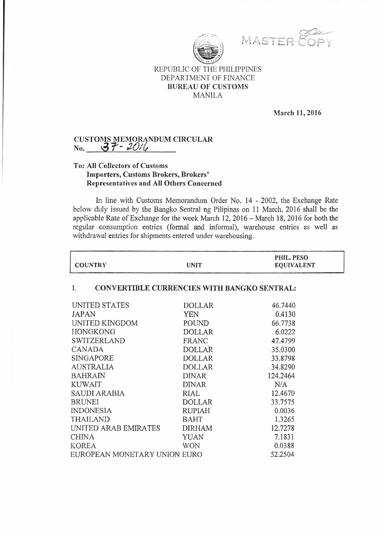

MASTER 80PY

# REPUBLIC OF THE PHILIPPINES DEPARTMENT OF FINANCE BUREAU OF CUSTOMS MANILA

#### March 11,2016

## CUSTOMS MEMORANDUM CIRCULAR No. *~"f- :2tJ/ft*

# To: All Collectors of Customs Importers, Customs Brokers, Brokers' Representatives and All Others Concerned

In line with Customs Memorandum Order No. 14 - 2002, the Exchange Rate below duly issued by the Bangko Sentral ng Pilipinas on 11 March, 2016 shall be the applicable Rate of Exchange for the week March 12, 2016 - March 18, 2016 for both the regular consumption entries (formal and informal), warehouse entries as well as withdrawal entries for shipments entered under warehousing.

| <b>COUNTRY</b>                                           | <b>UNIT</b>   | PHIL. PESO<br><b>EQUIVALENT</b> |  |
|----------------------------------------------------------|---------------|---------------------------------|--|
| <b>CONVERTIBLE CURRENCIES WITH BANGKO SENTRAL:</b><br>I. |               |                                 |  |
| UNITED STATES                                            | <b>DOLLAR</b> | 46.7440                         |  |
| JAPAN                                                    | <b>YEN</b>    | 0.4130                          |  |
| UNITED KINGDOM                                           | POUND         | 66.7738                         |  |
| HONGKONG                                                 | <b>DOLLAR</b> | 6.0222                          |  |
| <b>SWITZERLAND</b>                                       | <b>FRANC</b>  | 47.4799                         |  |
| CANADA                                                   | <b>DOLLAR</b> | 35.0300                         |  |
| SINGAPORE                                                | <b>DOLLAR</b> | 33.8798                         |  |
| <b>AUSTRALIA</b>                                         | <b>DOLLAR</b> | 34.8290                         |  |
| <b>BAHRAIN</b>                                           | <b>DINAR</b>  | 124.2464                        |  |
| <b>KUWAIT</b>                                            | <b>DINAR</b>  | N/A                             |  |
| SAUDI ARABIA                                             | RIAL          | 12.4670                         |  |
| <b>BRUNEI</b>                                            | <b>DOLLAR</b> | 33.7575                         |  |
| <b>INDONESIA</b>                                         | <b>RUPIAH</b> | 0.0036                          |  |
| <b>THAILAND</b>                                          | <b>BAHT</b>   | 1.3265                          |  |
| UNITED ARAB EMIRATES                                     | <b>DIRHAM</b> | 12.7278                         |  |
| <b>CHINA</b>                                             | <b>YUAN</b>   | 7.1831                          |  |
| <b>KOREA</b>                                             | <b>WON</b>    | 0.0388                          |  |
| EUROPEAN MONETARY UNION EURO                             |               | 52.2504                         |  |